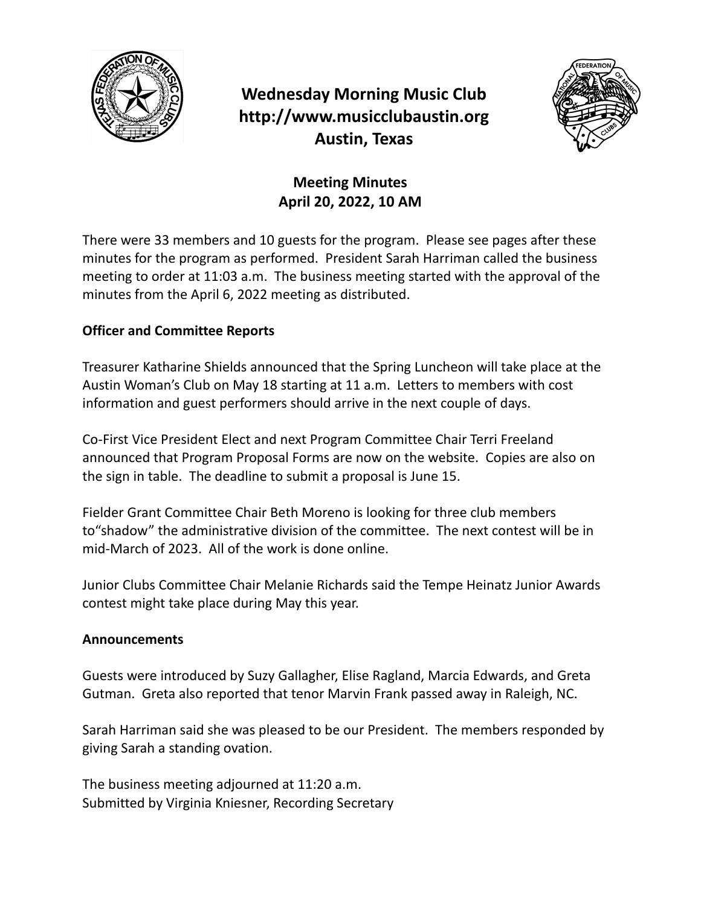

# **Wednesday Morning Music Club http://www.musicclubaustin.org Austin, Texas**



### **Meeting Minutes April 20, 2022, 10 AM**

There were 33 members and 10 guests for the program. Please see pages after these minutes for the program as performed. President Sarah Harriman called the business meeting to order at 11:03 a.m. The business meeting started with the approval of the minutes from the April 6, 2022 meeting as distributed.

### **Officer and Committee Reports**

Treasurer Katharine Shields announced that the Spring Luncheon will take place at the Austin Woman's Club on May 18 starting at 11 a.m. Letters to members with cost information and guest performers should arrive in the next couple of days.

Co-First Vice President Elect and next Program Committee Chair Terri Freeland announced that Program Proposal Forms are now on the website. Copies are also on the sign in table. The deadline to submit a proposal is June 15.

Fielder Grant Committee Chair Beth Moreno is looking for three club members to"shadow" the administrative division of the committee. The next contest will be in mid-March of 2023. All of the work is done online.

Junior Clubs Committee Chair Melanie Richards said the Tempe Heinatz Junior Awards contest might take place during May this year.

#### **Announcements**

Guests were introduced by Suzy Gallagher, Elise Ragland, Marcia Edwards, and Greta Gutman. Greta also reported that tenor Marvin Frank passed away in Raleigh, NC.

Sarah Harriman said she was pleased to be our President. The members responded by giving Sarah a standing ovation.

The business meeting adjourned at 11:20 a.m. Submitted by Virginia Kniesner, Recording Secretary